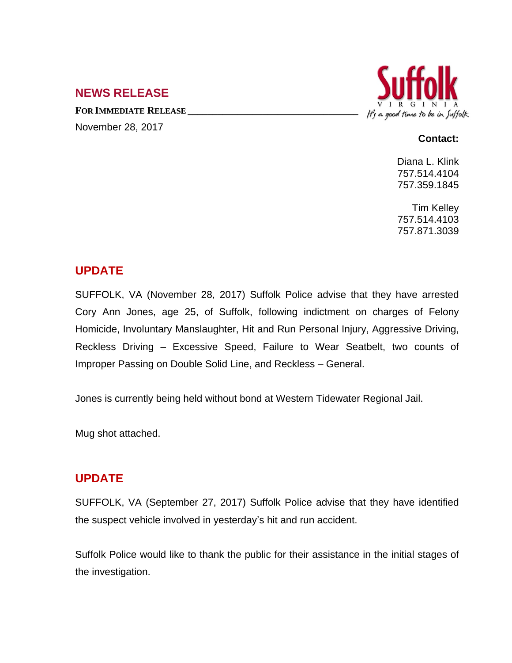## **NEWS RELEASE**

**FOR IMMEDIATE RELEASE \_\_\_\_\_\_\_\_\_\_\_\_\_\_\_\_\_\_\_\_\_\_\_\_\_\_\_\_\_\_\_\_\_\_**





#### **Contact:**

Diana L. Klink 757.514.4104 757.359.1845

Tim Kelley 757.514.4103 757.871.3039

# **UPDATE**

SUFFOLK, VA (November 28, 2017) Suffolk Police advise that they have arrested Cory Ann Jones, age 25, of Suffolk, following indictment on charges of Felony Homicide, Involuntary Manslaughter, Hit and Run Personal Injury, Aggressive Driving, Reckless Driving – Excessive Speed, Failure to Wear Seatbelt, two counts of Improper Passing on Double Solid Line, and Reckless – General.

Jones is currently being held without bond at Western Tidewater Regional Jail.

Mug shot attached.

## **UPDATE**

SUFFOLK, VA (September 27, 2017) Suffolk Police advise that they have identified the suspect vehicle involved in yesterday's hit and run accident.

Suffolk Police would like to thank the public for their assistance in the initial stages of the investigation.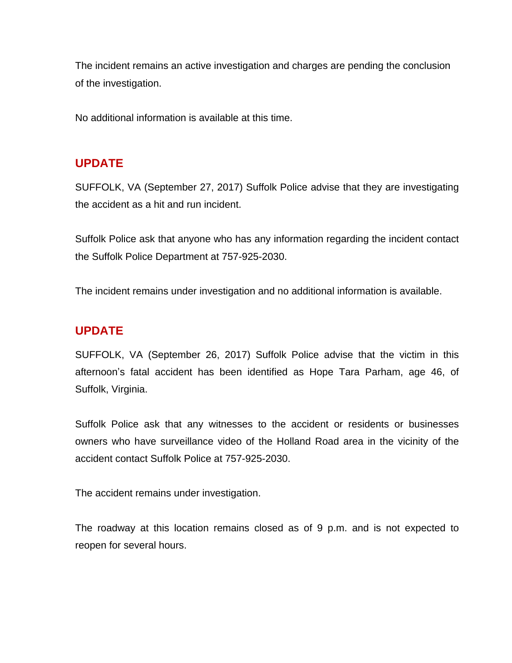The incident remains an active investigation and charges are pending the conclusion of the investigation.

No additional information is available at this time.

## **UPDATE**

SUFFOLK, VA (September 27, 2017) Suffolk Police advise that they are investigating the accident as a hit and run incident.

Suffolk Police ask that anyone who has any information regarding the incident contact the Suffolk Police Department at 757-925-2030.

The incident remains under investigation and no additional information is available.

## **UPDATE**

SUFFOLK, VA (September 26, 2017) Suffolk Police advise that the victim in this afternoon's fatal accident has been identified as Hope Tara Parham, age 46, of Suffolk, Virginia.

Suffolk Police ask that any witnesses to the accident or residents or businesses owners who have surveillance video of the Holland Road area in the vicinity of the accident contact Suffolk Police at 757-925-2030.

The accident remains under investigation.

The roadway at this location remains closed as of 9 p.m. and is not expected to reopen for several hours.